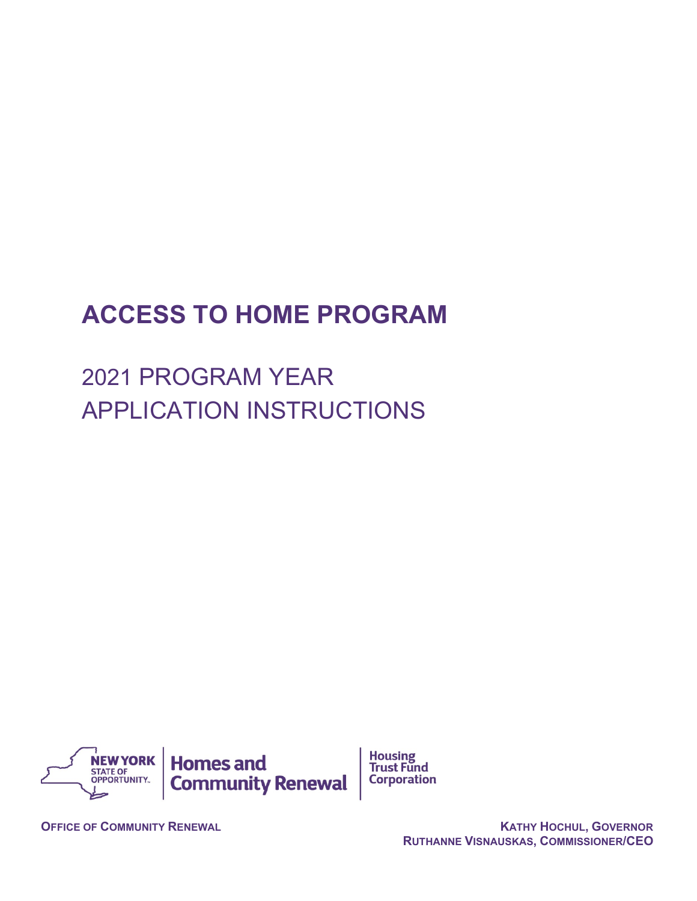# **ACCESS TO HOME PROGRAM**

2021 PROGRAM YEAR APPLICATION INSTRUCTIONS

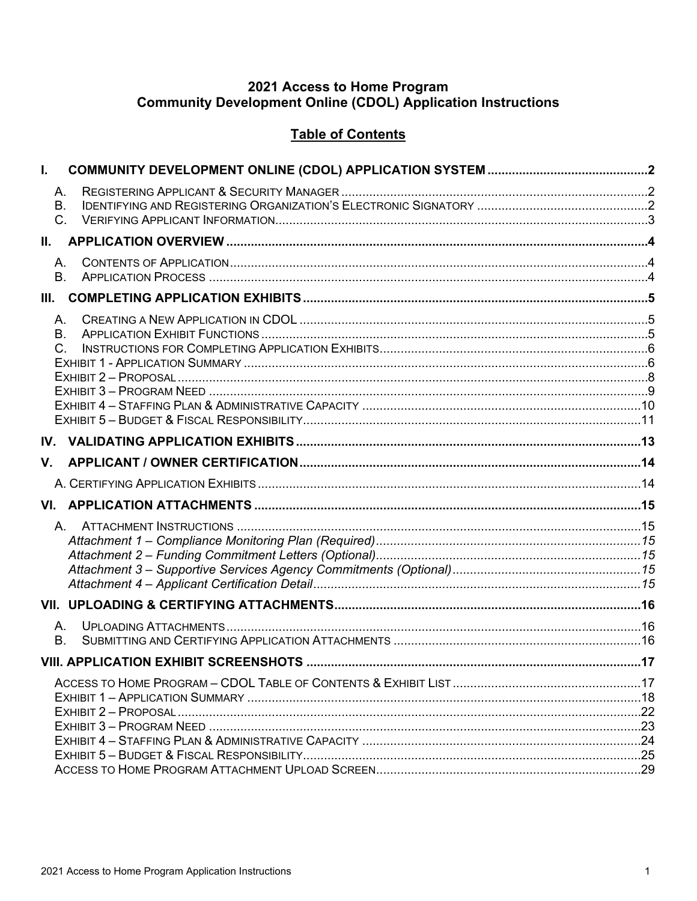# 2021 Access to Home Program<br>Community Development Online (CDOL) Application Instructions

# **Table of Contents**

| I.          |  |
|-------------|--|
| А.          |  |
| <b>B.</b>   |  |
| C.          |  |
| II.         |  |
| Α.          |  |
| <b>B.</b>   |  |
| Ш.          |  |
| А.          |  |
| <b>B.</b>   |  |
| $C_{\cdot}$ |  |
|             |  |
|             |  |
|             |  |
|             |  |
|             |  |
| V.          |  |
|             |  |
|             |  |
|             |  |
|             |  |
|             |  |
|             |  |
|             |  |
|             |  |
| А.          |  |
| <b>B.</b>   |  |
|             |  |
|             |  |
|             |  |
|             |  |
|             |  |
|             |  |
|             |  |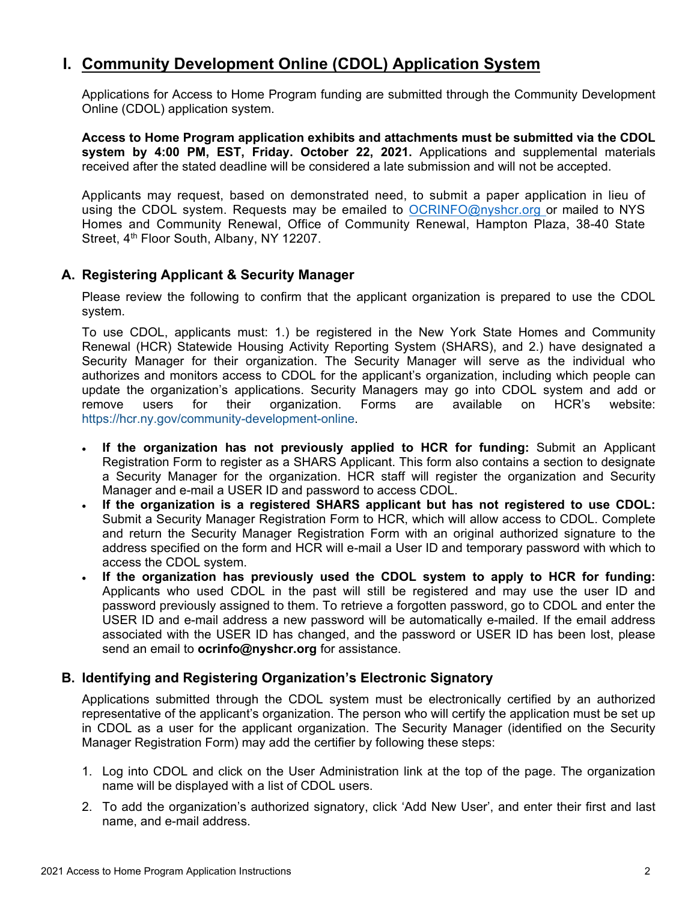# <span id="page-2-0"></span>**I. Community Development Online (CDOL) Application System**

Applications for Access to Home Program funding are submitted through the Community Development Online (CDOL) application system.

**Access to Home Program application exhibits and attachments must be submitted via the CDOL system by 4:00 PM, EST, Friday. October 22, 2021.** Applications and supplemental materials received after the stated deadline will be considered a late submission and will not be accepted.

Applicants may request, based on demonstrated need, to submit a paper application in lieu of using the CDOL system. Requests may be emailed to [OCRINFO@nyshcr.org](mailto:nyshcr.sm.ocrinfo%20%3cocrinfo@nyshcr.org%3e) or mailed to NYS Homes and Community Renewal, Office of Community Renewal, Hampton Plaza, 38-40 State Street, 4<sup>th</sup> Floor South, Albany, NY 12207.

# <span id="page-2-1"></span>**A. Registering Applicant & Security Manager**

Please review the following to confirm that the applicant organization is prepared to use the CDOL system.

To use CDOL, applicants must: 1.) be registered in the New York State Homes and Community Renewal (HCR) Statewide Housing Activity Reporting System (SHARS), and 2.) have designated a Security Manager for their organization. The Security Manager will serve as the individual who authorizes and monitors access to CDOL for the applicant's organization, including which people can update the organization's applications. Security Managers may go into CDOL system and add or remove users for their organization. Forms are available on HCR's website: [https://hcr.ny.gov/community-development-online.](https://hcr.ny.gov/community-development-online)

- **If the organization has not previously applied to HCR for funding:** Submit an Applicant Registration Form to register as a SHARS Applicant. This form also contains a section to designate a Security Manager for the organization. HCR staff will register the organization and Security Manager and e-mail a USER ID and password to access CDOL.
- **If the organization is a registered SHARS applicant but has not registered to use CDOL:** Submit a Security Manager Registration Form to HCR, which will allow access to CDOL. Complete and return the Security Manager Registration Form with an original authorized signature to the address specified on the form and HCR will e-mail a User ID and temporary password with which to access the CDOL system.
- **If the organization has previously used the CDOL system to apply to HCR for funding:**  Applicants who used CDOL in the past will still be registered and may use the user ID and password previously assigned to them. To retrieve a forgotten password, go to CDOL and enter the USER ID and e-mail address a new password will be automatically e-mailed. If the email address associated with the USER ID has changed, and the password or USER ID has been lost, please send an email to **ocrinfo@nyshcr.org** for assistance.

### <span id="page-2-2"></span>**B. Identifying and Registering Organization's Electronic Signatory**

Applications submitted through the CDOL system must be electronically certified by an authorized representative of the applicant's organization. The person who will certify the application must be set up in CDOL as a user for the applicant organization. The Security Manager (identified on the Security Manager Registration Form) may add the certifier by following these steps:

- 1. Log into CDOL and click on the User Administration link at the top of the page. The organization name will be displayed with a list of CDOL users.
- 2. To add the organization's authorized signatory, click 'Add New User', and enter their first and last name, and e-mail address.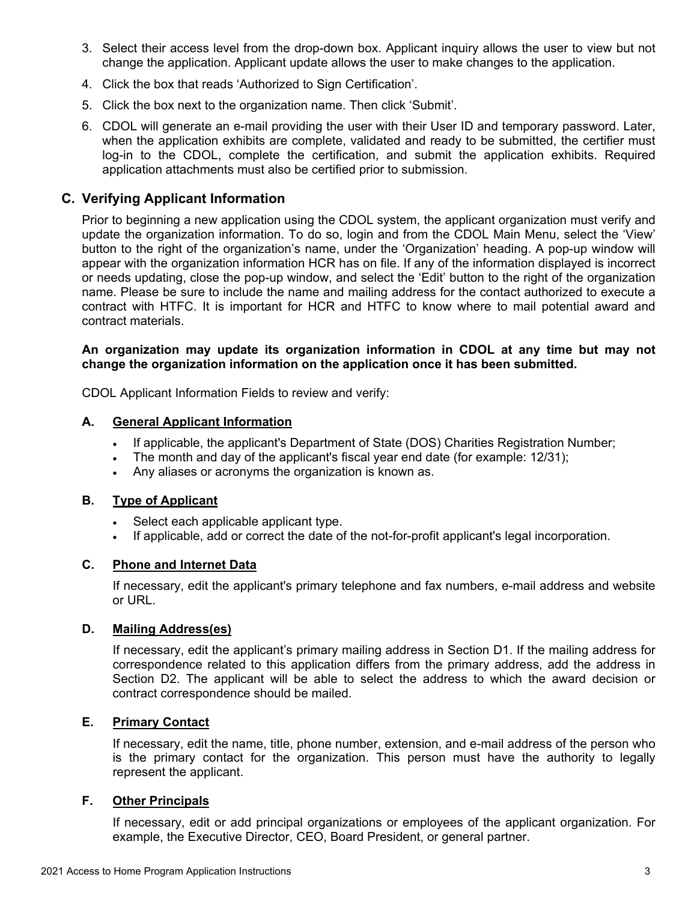- 3. Select their access level from the drop-down box. Applicant inquiry allows the user to view but not change the application. Applicant update allows the user to make changes to the application.
- 4. Click the box that reads 'Authorized to Sign Certification'.
- 5. Click the box next to the organization name. Then click 'Submit'.
- 6. CDOL will generate an e-mail providing the user with their User ID and temporary password. Later, when the application exhibits are complete, validated and ready to be submitted, the certifier must log-in to the CDOL, complete the certification, and submit the application exhibits. Required application attachments must also be certified prior to submission.

### <span id="page-3-0"></span>**C. Verifying Applicant Information**

Prior to beginning a new application using the CDOL system, the applicant organization must verify and update the organization information. To do so, login and from the CDOL Main Menu, select the 'View' button to the right of the organization's name, under the 'Organization' heading. A pop-up window will appear with the organization information HCR has on file. If any of the information displayed is incorrect or needs updating, close the pop-up window, and select the 'Edit' button to the right of the organization name. Please be sure to include the name and mailing address for the contact authorized to execute a contract with HTFC. It is important for HCR and HTFC to know where to mail potential award and contract materials.

### **An organization may update its organization information in CDOL at any time but may not change the organization information on the application once it has been submitted.**

CDOL Applicant Information Fields to review and verify:

### **A. General Applicant Information**

- If applicable, the applicant's Department of State (DOS) Charities Registration Number;
- The month and day of the applicant's fiscal year end date (for example: 12/31);
- Any aliases or acronyms the organization is known as.

### **B. Type of Applicant**

- Select each applicable applicant type.
- If applicable, add or correct the date of the not-for-profit applicant's legal incorporation.

### **C. Phone and Internet Data**

If necessary, edit the applicant's primary telephone and fax numbers, e-mail address and website or URL.

### **D. Mailing Address(es)**

If necessary, edit the applicant's primary mailing address in Section D1. If the mailing address for correspondence related to this application differs from the primary address, add the address in Section D2. The applicant will be able to select the address to which the award decision or contract correspondence should be mailed.

### **E. Primary Contact**

If necessary, edit the name, title, phone number, extension, and e-mail address of the person who is the primary contact for the organization. This person must have the authority to legally represent the applicant.

### **F. Other Principals**

If necessary, edit or add principal organizations or employees of the applicant organization. For example, the Executive Director, CEO, Board President, or general partner.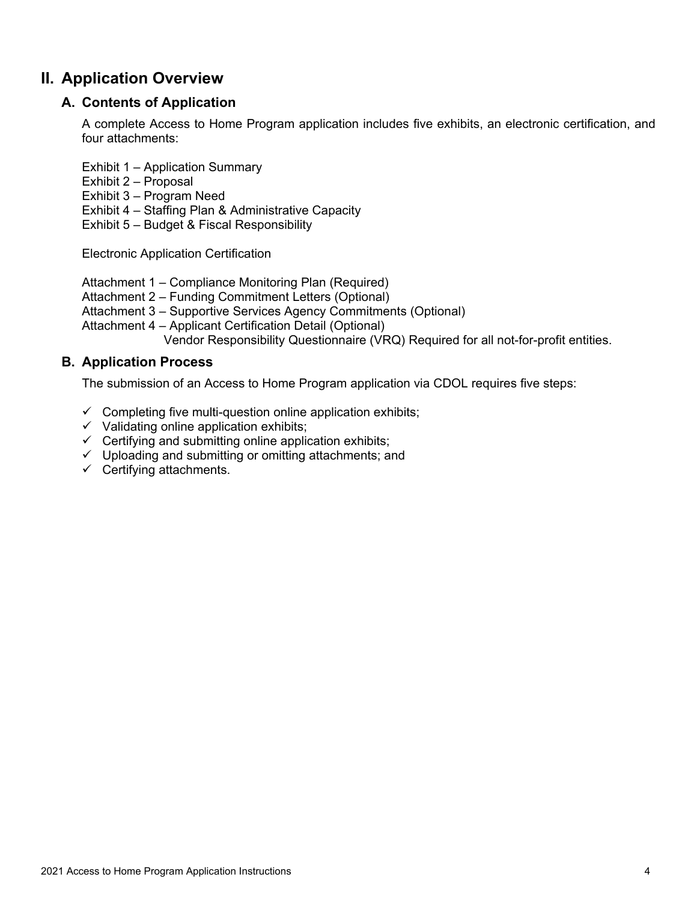# <span id="page-4-1"></span><span id="page-4-0"></span>**II. Application Overview**

# **A. Contents of Application**

A complete Access to Home Program application includes five exhibits, an electronic certification, and four attachments:

Exhibit 1 – Application Summary

- Exhibit 2 Proposal
- Exhibit 3 Program Need
- Exhibit 4 Staffing Plan & Administrative Capacity

Exhibit 5 – Budget & Fiscal Responsibility

Electronic Application Certification

Attachment 1 – Compliance Monitoring Plan (Required)

Attachment 2 – Funding Commitment Letters (Optional)

Attachment 3 – Supportive Services Agency Commitments (Optional)

Attachment 4 – Applicant Certification Detail (Optional)

Vendor Responsibility Questionnaire (VRQ) Required for all not-for-profit entities.

# <span id="page-4-2"></span>**B. Application Process**

The submission of an Access to Home Program application via CDOL requires five steps:

- $\checkmark$  Completing five multi-question online application exhibits;
- $\checkmark$  Validating online application exhibits;
- $\checkmark$  Certifying and submitting online application exhibits;
- $\checkmark$  Uploading and submitting or omitting attachments; and
- $\checkmark$  Certifying attachments.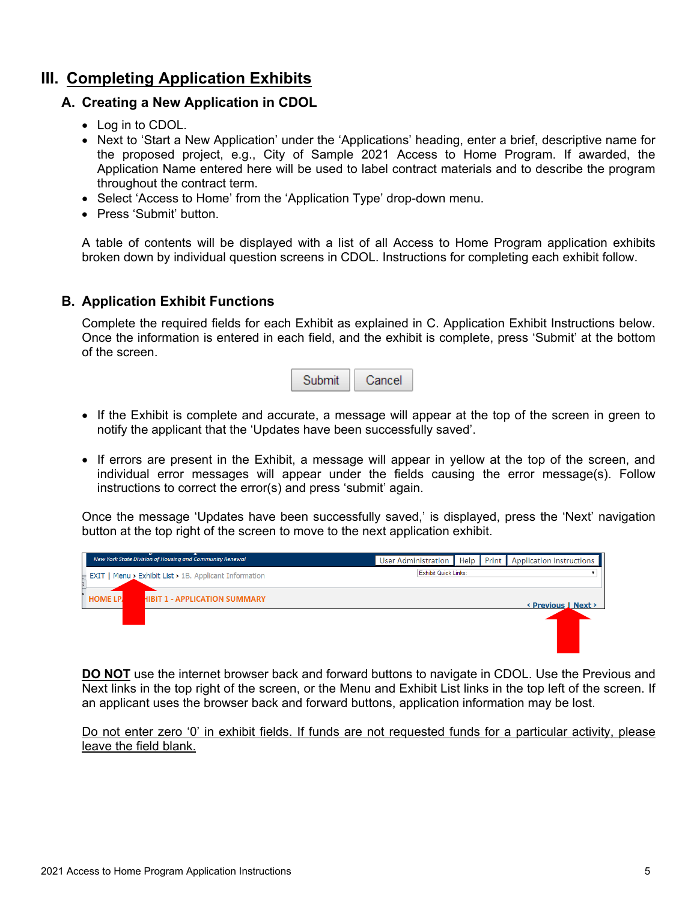# <span id="page-5-1"></span><span id="page-5-0"></span>**III. Completing Application Exhibits**

### **A. Creating a New Application in CDOL**

- Log in to CDOL.
- Next to 'Start a New Application' under the 'Applications' heading, enter a brief, descriptive name for the proposed project, e.g., City of Sample 2021 Access to Home Program. If awarded, the Application Name entered here will be used to label contract materials and to describe the program throughout the contract term.
- Select 'Access to Home' from the 'Application Type' drop-down menu.
- Press 'Submit' button.

A table of contents will be displayed with a list of all Access to Home Program application exhibits broken down by individual question screens in CDOL. Instructions for completing each exhibit follow.

### <span id="page-5-2"></span>**B. Application Exhibit Functions**

Complete the required fields for each Exhibit as explained in C. Application Exhibit Instructions below. Once the information is entered in each field, and the exhibit is complete, press 'Submit' at the bottom of the screen.



- If the Exhibit is complete and accurate, a message will appear at the top of the screen in green to notify the applicant that the 'Updates have been successfully saved'.
- If errors are present in the Exhibit, a message will appear in yellow at the top of the screen, and individual error messages will appear under the fields causing the error message(s). Follow instructions to correct the error(s) and press 'submit' again.

Once the message 'Updates have been successfully saved,' is displayed, press the 'Next' navigation button at the top right of the screen to move to the next application exhibit.



**DO NOT** use the internet browser back and forward buttons to navigate in CDOL. Use the Previous and Next links in the top right of the screen, or the Menu and Exhibit List links in the top left of the screen. If an applicant uses the browser back and forward buttons, application information may be lost.

Do not enter zero '0' in exhibit fields. If funds are not requested funds for a particular activity, please leave the field blank.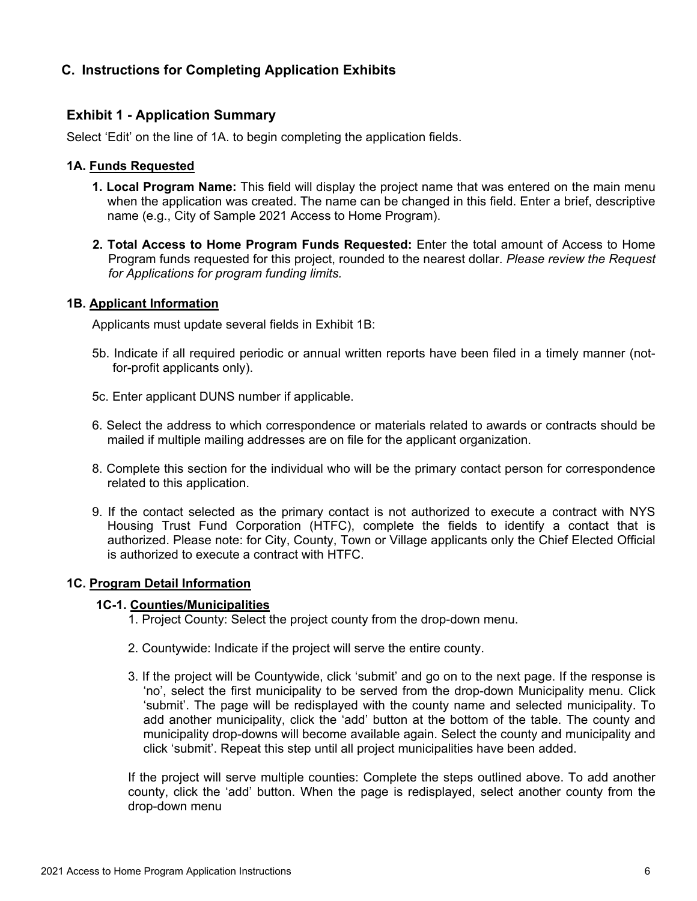# <span id="page-6-0"></span>**C. Instructions for Completing Application Exhibits**

### <span id="page-6-1"></span>**Exhibit 1 - Application Summary**

Select 'Edit' on the line of 1A. to begin completing the application fields.

### **1A. Funds Requested**

- **1. Local Program Name:** This field will display the project name that was entered on the main menu when the application was created. The name can be changed in this field. Enter a brief, descriptive name (e.g., City of Sample 2021 Access to Home Program).
- **2. Total Access to Home Program Funds Requested:** Enter the total amount of Access to Home Program funds requested for this project, rounded to the nearest dollar. *Please review the Request for Applications for program funding limits.*

#### **1B. Applicant Information**

Applicants must update several fields in Exhibit 1B:

- 5b. Indicate if all required periodic or annual written reports have been filed in a timely manner (notfor-profit applicants only).
- 5c. Enter applicant DUNS number if applicable.
- 6. Select the address to which correspondence or materials related to awards or contracts should be mailed if multiple mailing addresses are on file for the applicant organization.
- 8. Complete this section for the individual who will be the primary contact person for correspondence related to this application.
- 9. If the contact selected as the primary contact is not authorized to execute a contract with NYS Housing Trust Fund Corporation (HTFC), complete the fields to identify a contact that is authorized. Please note: for City, County, Town or Village applicants only the Chief Elected Official is authorized to execute a contract with HTFC.

#### **1C. Program Detail Information**

#### **1C-1. Counties/Municipalities**

- 1. Project County: Select the project county from the drop-down menu.
- 2. Countywide: Indicate if the project will serve the entire county.
- 3. If the project will be Countywide, click 'submit' and go on to the next page. If the response is 'no', select the first municipality to be served from the drop-down Municipality menu. Click 'submit'. The page will be redisplayed with the county name and selected municipality. To add another municipality, click the 'add' button at the bottom of the table. The county and municipality drop-downs will become available again. Select the county and municipality and click 'submit'. Repeat this step until all project municipalities have been added.

If the project will serve multiple counties: Complete the steps outlined above. To add another county, click the 'add' button. When the page is redisplayed, select another county from the drop-down menu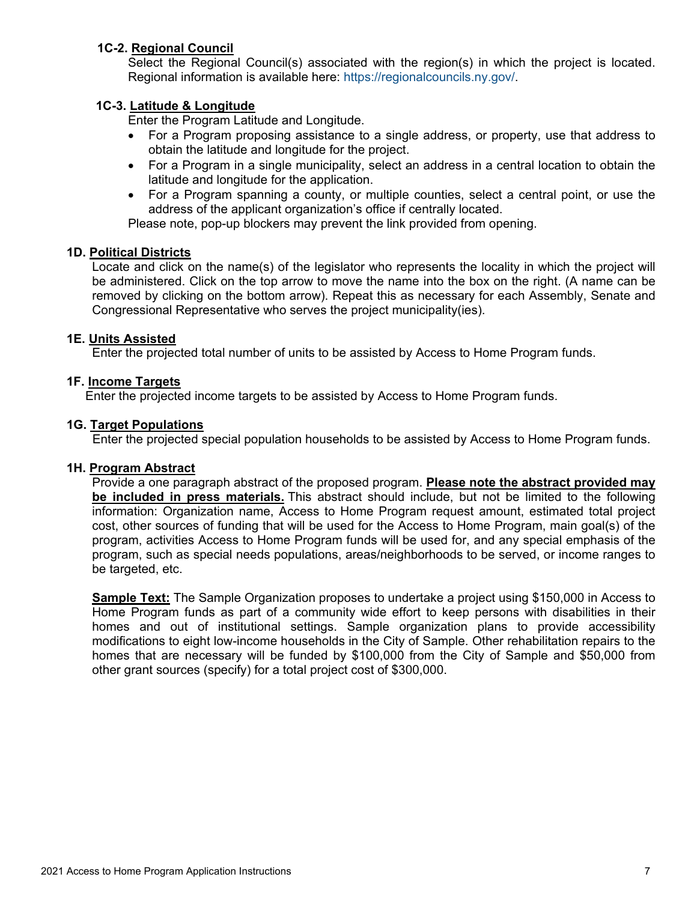### **1C-2. Regional Council**

Select the Regional Council(s) associated with the region(s) in which the project is located. Regional information is available here: [https://regionalcouncils.ny.gov/.](https://regionalcouncils.ny.gov/)

### **1C-3. Latitude & Longitude**

Enter the Program Latitude and Longitude.

- For a Program proposing assistance to a single address, or property, use that address to obtain the latitude and longitude for the project.
- For a Program in a single municipality, select an address in a central location to obtain the latitude and longitude for the application.
- For a Program spanning a county, or multiple counties, select a central point, or use the address of the applicant organization's office if centrally located.

Please note, pop-up blockers may prevent the link provided from opening.

### **1D. Political Districts**

Locate and click on the name(s) of the legislator who represents the locality in which the project will be administered. Click on the top arrow to move the name into the box on the right. (A name can be removed by clicking on the bottom arrow). Repeat this as necessary for each Assembly, Senate and Congressional Representative who serves the project municipality(ies).

### **1E. Units Assisted**

Enter the projected total number of units to be assisted by Access to Home Program funds.

### **1F. Income Targets**

Enter the projected income targets to be assisted by Access to Home Program funds.

### **1G. Target Populations**

Enter the projected special population households to be assisted by Access to Home Program funds.

#### **1H. Program Abstract**

Provide a one paragraph abstract of the proposed program. **Please note the abstract provided may be included in press materials.** This abstract should include, but not be limited to the following information: Organization name, Access to Home Program request amount, estimated total project cost, other sources of funding that will be used for the Access to Home Program, main goal(s) of the program, activities Access to Home Program funds will be used for, and any special emphasis of the program, such as special needs populations, areas/neighborhoods to be served, or income ranges to be targeted, etc.

**Sample Text:** The Sample Organization proposes to undertake a project using \$150,000 in Access to Home Program funds as part of a community wide effort to keep persons with disabilities in their homes and out of institutional settings. Sample organization plans to provide accessibility modifications to eight low-income households in the City of Sample. Other rehabilitation repairs to the homes that are necessary will be funded by \$100,000 from the City of Sample and \$50,000 from other grant sources (specify) for a total project cost of \$300,000.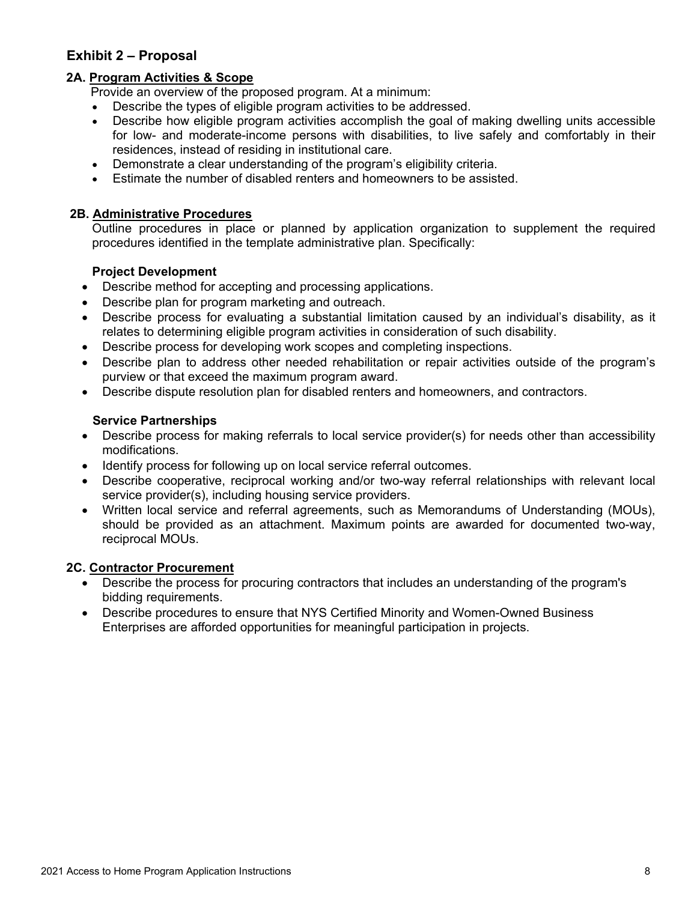# <span id="page-8-0"></span>**Exhibit 2 – Proposal**

### **2A. Program Activities & Scope**

Provide an overview of the proposed program. At a minimum:

- Describe the types of eligible program activities to be addressed.
- Describe how eligible program activities accomplish the goal of making dwelling units accessible for low- and moderate-income persons with disabilities, to live safely and comfortably in their residences, instead of residing in institutional care.
- Demonstrate a clear understanding of the program's eligibility criteria.
- Estimate the number of disabled renters and homeowners to be assisted.

### **2B. Administrative Procedures**

Outline procedures in place or planned by application organization to supplement the required procedures identified in the template administrative plan. Specifically:

### **Project Development**

- Describe method for accepting and processing applications.
- Describe plan for program marketing and outreach.
- Describe process for evaluating a substantial limitation caused by an individual's disability, as it relates to determining eligible program activities in consideration of such disability.
- Describe process for developing work scopes and completing inspections.
- Describe plan to address other needed rehabilitation or repair activities outside of the program's purview or that exceed the maximum program award.
- Describe dispute resolution plan for disabled renters and homeowners, and contractors.

### **Service Partnerships**

- Describe process for making referrals to local service provider(s) for needs other than accessibility modifications.
- Identify process for following up on local service referral outcomes.
- Describe cooperative, reciprocal working and/or two-way referral relationships with relevant local service provider(s), including housing service providers.
- Written local service and referral agreements, such as Memorandums of Understanding (MOUs), should be provided as an attachment. Maximum points are awarded for documented two-way, reciprocal MOUs.

### **2C. Contractor Procurement**

- Describe the process for procuring contractors that includes an understanding of the program's bidding requirements.
- Describe procedures to ensure that NYS Certified Minority and Women-Owned Business Enterprises are afforded opportunities for meaningful participation in projects.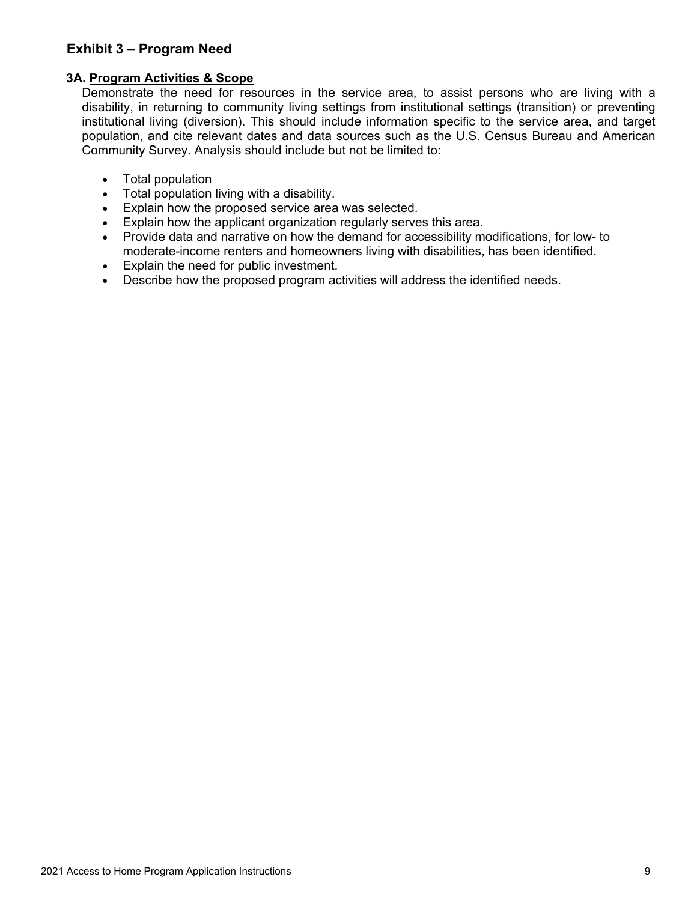# <span id="page-9-0"></span>**Exhibit 3 – Program Need**

### **3A. Program Activities & Scope**

Demonstrate the need for resources in the service area, to assist persons who are living with a disability, in returning to community living settings from institutional settings (transition) or preventing institutional living (diversion). This should include information specific to the service area, and target population, and cite relevant dates and data sources such as the U.S. Census Bureau and American Community Survey. Analysis should include but not be limited to:

- Total population
- Total population living with a disability.
- Explain how the proposed service area was selected.
- Explain how the applicant organization regularly serves this area.
- Provide data and narrative on how the demand for accessibility modifications, for low- to moderate-income renters and homeowners living with disabilities, has been identified.
- Explain the need for public investment.
- Describe how the proposed program activities will address the identified needs.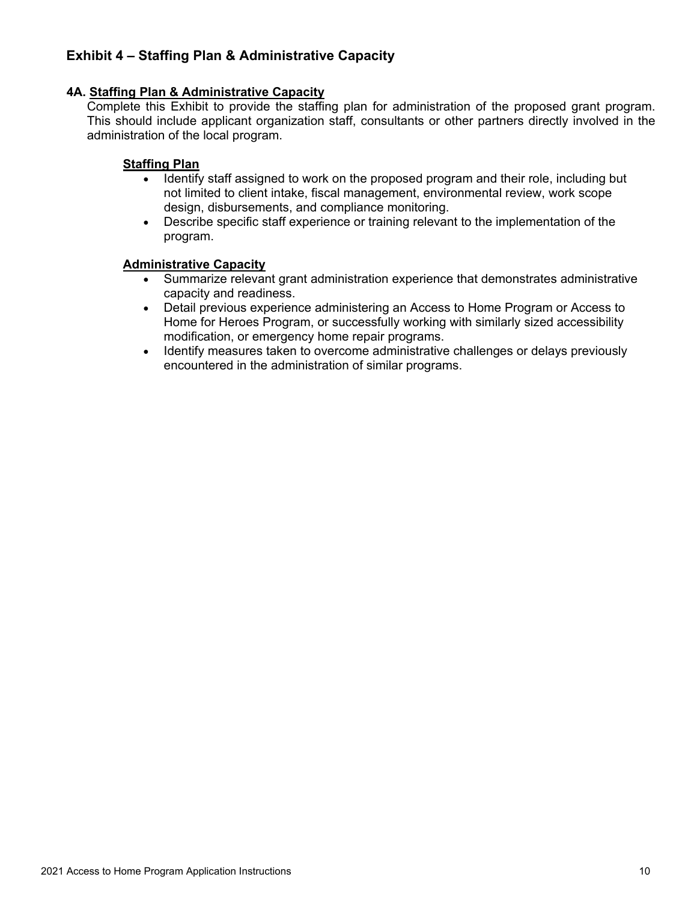# <span id="page-10-0"></span>**Exhibit 4 – Staffing Plan & Administrative Capacity**

### **4A. Staffing Plan & Administrative Capacity**

Complete this Exhibit to provide the staffing plan for administration of the proposed grant program. This should include applicant organization staff, consultants or other partners directly involved in the administration of the local program.

### **Staffing Plan**

- Identify staff assigned to work on the proposed program and their role, including but not limited to client intake, fiscal management, environmental review, work scope design, disbursements, and compliance monitoring.
- Describe specific staff experience or training relevant to the implementation of the program.

### **Administrative Capacity**

- Summarize relevant grant administration experience that demonstrates administrative capacity and readiness.
- Detail previous experience administering an Access to Home Program or Access to Home for Heroes Program, or successfully working with similarly sized accessibility modification, or emergency home repair programs.
- Identify measures taken to overcome administrative challenges or delays previously encountered in the administration of similar programs.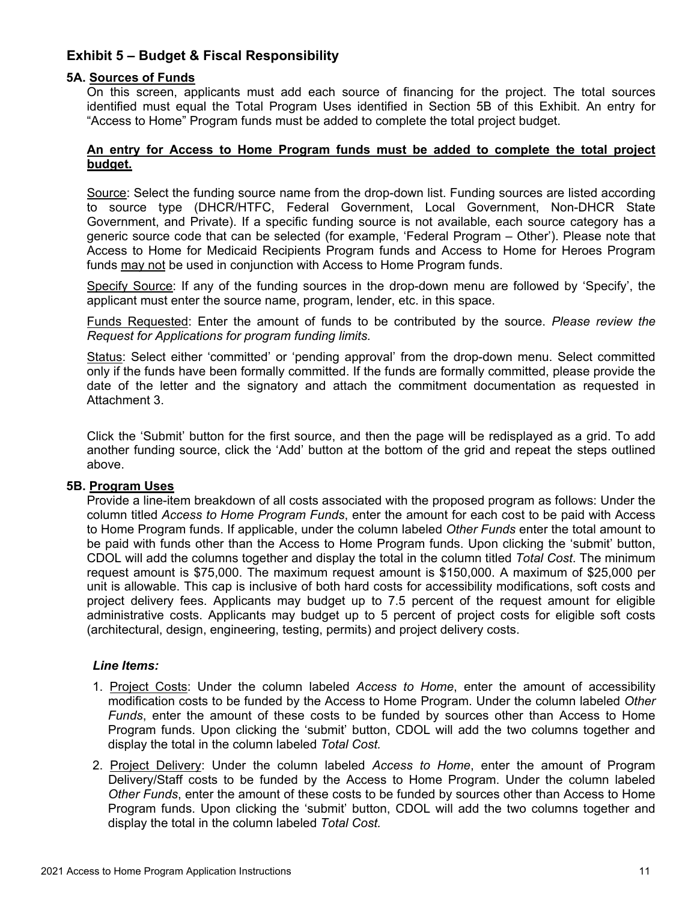# <span id="page-11-0"></span>**Exhibit 5 – Budget & Fiscal Responsibility**

### **5A. Sources of Funds**

On this screen, applicants must add each source of financing for the project. The total sources identified must equal the Total Program Uses identified in Section 5B of this Exhibit. An entry for "Access to Home" Program funds must be added to complete the total project budget.

#### **An entry for Access to Home Program funds must be added to complete the total project budget.**

Source: Select the funding source name from the drop-down list. Funding sources are listed according to source type (DHCR/HTFC, Federal Government, Local Government, Non-DHCR State Government, and Private). If a specific funding source is not available, each source category has a generic source code that can be selected (for example, 'Federal Program – Other'). Please note that Access to Home for Medicaid Recipients Program funds and Access to Home for Heroes Program funds may not be used in conjunction with Access to Home Program funds.

Specify Source: If any of the funding sources in the drop-down menu are followed by 'Specify', the applicant must enter the source name, program, lender, etc. in this space.

Funds Requested: Enter the amount of funds to be contributed by the source. *Please review the Request for Applications for program funding limits.*

Status: Select either 'committed' or 'pending approval' from the drop-down menu. Select committed only if the funds have been formally committed. If the funds are formally committed, please provide the date of the letter and the signatory and attach the commitment documentation as requested in Attachment 3.

Click the 'Submit' button for the first source, and then the page will be redisplayed as a grid. To add another funding source, click the 'Add' button at the bottom of the grid and repeat the steps outlined above.

#### **5B. Program Uses**

Provide a line-item breakdown of all costs associated with the proposed program as follows: Under the column titled *Access to Home Program Funds*, enter the amount for each cost to be paid with Access to Home Program funds. If applicable, under the column labeled *Other Funds* enter the total amount to be paid with funds other than the Access to Home Program funds. Upon clicking the 'submit' button, CDOL will add the columns together and display the total in the column titled *Total Cost*. The minimum request amount is \$75,000. The maximum request amount is \$150,000. A maximum of \$25,000 per unit is allowable. This cap is inclusive of both hard costs for accessibility modifications, soft costs and project delivery fees. Applicants may budget up to 7.5 percent of the request amount for eligible administrative costs. Applicants may budget up to 5 percent of project costs for eligible soft costs (architectural, design, engineering, testing, permits) and project delivery costs.

#### *Line Items:*

- 1. Project Costs: Under the column labeled *Access to Home*, enter the amount of accessibility modification costs to be funded by the Access to Home Program. Under the column labeled *Other Funds*, enter the amount of these costs to be funded by sources other than Access to Home Program funds. Upon clicking the 'submit' button, CDOL will add the two columns together and display the total in the column labeled *Total Cost.*
- 2. Project Delivery: Under the column labeled *Access to Home*, enter the amount of Program Delivery/Staff costs to be funded by the Access to Home Program. Under the column labeled *Other Funds*, enter the amount of these costs to be funded by sources other than Access to Home Program funds. Upon clicking the 'submit' button, CDOL will add the two columns together and display the total in the column labeled *Total Cost.*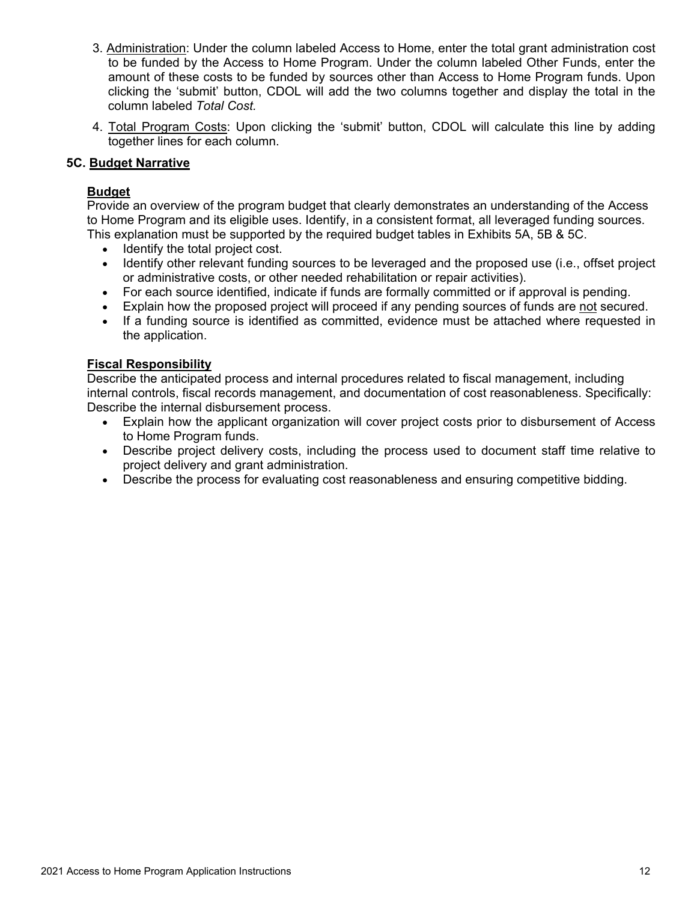- 3. Administration: Under the column labeled Access to Home, enter the total grant administration cost to be funded by the Access to Home Program. Under the column labeled Other Funds, enter the amount of these costs to be funded by sources other than Access to Home Program funds. Upon clicking the 'submit' button, CDOL will add the two columns together and display the total in the column labeled *Total Cost.*
- 4. Total Program Costs: Upon clicking the 'submit' button, CDOL will calculate this line by adding together lines for each column.

### **5C. Budget Narrative**

### **Budget**

Provide an overview of the program budget that clearly demonstrates an understanding of the Access to Home Program and its eligible uses. Identify, in a consistent format, all leveraged funding sources. This explanation must be supported by the required budget tables in Exhibits 5A, 5B & 5C.

- Identify the total project cost.
- Identify other relevant funding sources to be leveraged and the proposed use (i.e., offset project or administrative costs, or other needed rehabilitation or repair activities).
- For each source identified, indicate if funds are formally committed or if approval is pending.
- Explain how the proposed project will proceed if any pending sources of funds are not secured.
- If a funding source is identified as committed, evidence must be attached where requested in the application.

### **Fiscal Responsibility**

Describe the anticipated process and internal procedures related to fiscal management, including internal controls, fiscal records management, and documentation of cost reasonableness. Specifically: Describe the internal disbursement process.

- Explain how the applicant organization will cover project costs prior to disbursement of Access to Home Program funds.
- Describe project delivery costs, including the process used to document staff time relative to project delivery and grant administration.
- Describe the process for evaluating cost reasonableness and ensuring competitive bidding.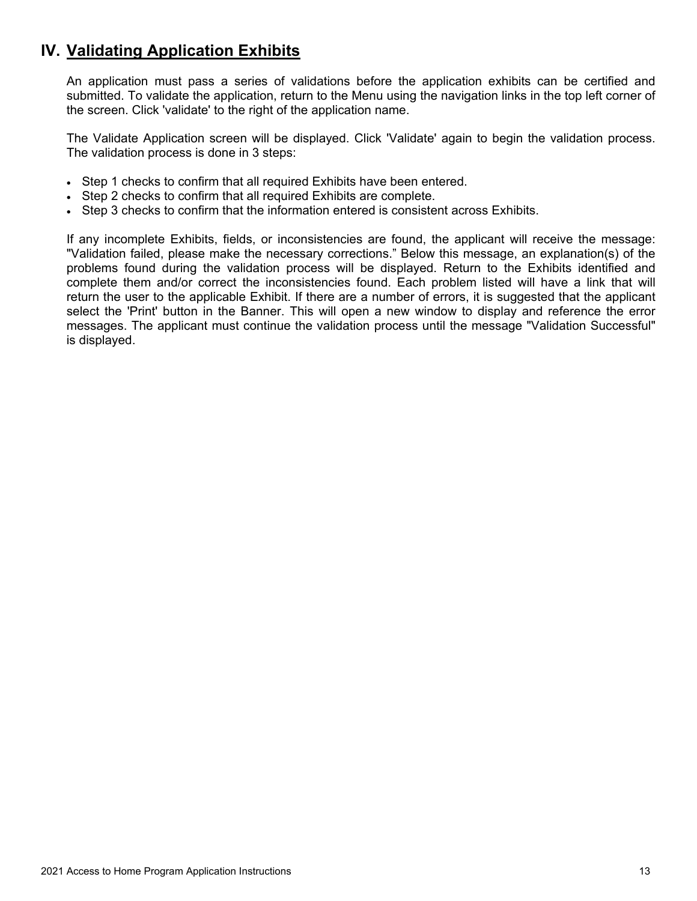# <span id="page-13-0"></span>**IV. Validating Application Exhibits**

An application must pass a series of validations before the application exhibits can be certified and submitted. To validate the application, return to the Menu using the navigation links in the top left corner of the screen. Click 'validate' to the right of the application name.

The Validate Application screen will be displayed. Click 'Validate' again to begin the validation process. The validation process is done in 3 steps:

- Step 1 checks to confirm that all required Exhibits have been entered.
- Step 2 checks to confirm that all required Exhibits are complete.
- Step 3 checks to confirm that the information entered is consistent across Exhibits.

If any incomplete Exhibits, fields, or inconsistencies are found, the applicant will receive the message: "Validation failed, please make the necessary corrections." Below this message, an explanation(s) of the problems found during the validation process will be displayed. Return to the Exhibits identified and complete them and/or correct the inconsistencies found. Each problem listed will have a link that will return the user to the applicable Exhibit. If there are a number of errors, it is suggested that the applicant select the 'Print' button in the Banner. This will open a new window to display and reference the error messages. The applicant must continue the validation process until the message "Validation Successful" is displayed.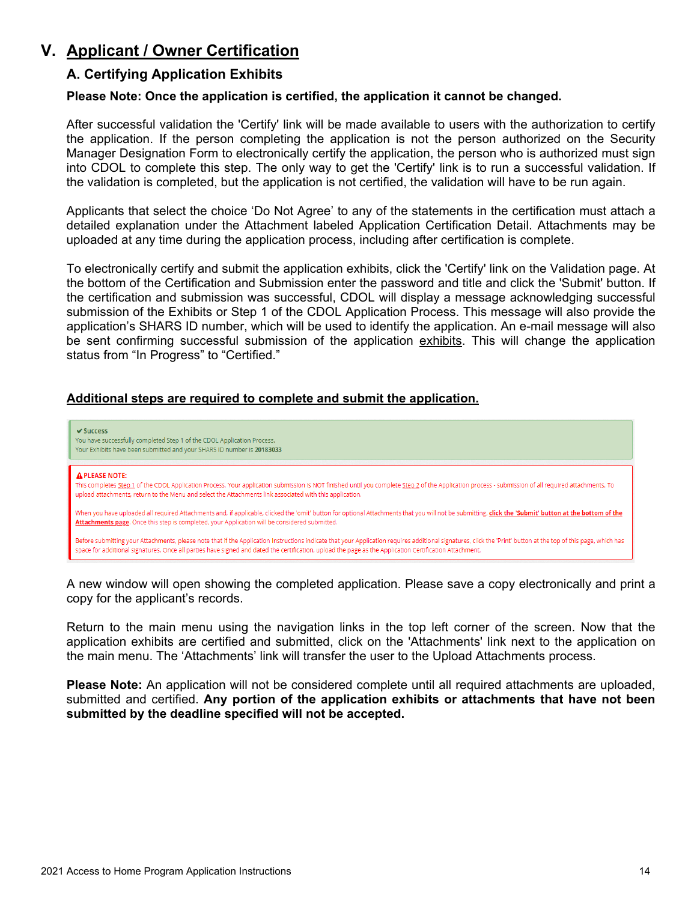# <span id="page-14-1"></span><span id="page-14-0"></span>**V. Applicant / Owner Certification**

### **A. Certifying Application Exhibits**

### **Please Note: Once the application is certified, the application it cannot be changed.**

After successful validation the 'Certify' link will be made available to users with the authorization to certify the application. If the person completing the application is not the person authorized on the Security Manager Designation Form to electronically certify the application, the person who is authorized must sign into CDOL to complete this step. The only way to get the 'Certify' link is to run a successful validation. If the validation is completed, but the application is not certified, the validation will have to be run again.

Applicants that select the choice 'Do Not Agree' to any of the statements in the certification must attach a detailed explanation under the Attachment labeled Application Certification Detail. Attachments may be uploaded at any time during the application process, including after certification is complete.

To electronically certify and submit the application exhibits, click the 'Certify' link on the Validation page. At the bottom of the Certification and Submission enter the password and title and click the 'Submit' button. If the certification and submission was successful, CDOL will display a message acknowledging successful submission of the Exhibits or Step 1 of the CDOL Application Process. This message will also provide the application's SHARS ID number, which will be used to identify the application. An e-mail message will also be sent confirming successful submission of the application exhibits. This will change the application status from "In Progress" to "Certified."

### **Additional steps are required to complete and submit the application.**



A new window will open showing the completed application. Please save a copy electronically and print a copy for the applicant's records.

Return to the main menu using the navigation links in the top left corner of the screen. Now that the application exhibits are certified and submitted, click on the 'Attachments' link next to the application on the main menu. The 'Attachments' link will transfer the user to the Upload Attachments process.

**Please Note:** An application will not be considered complete until all required attachments are uploaded, submitted and certified. **Any portion of the application exhibits or attachments that have not been submitted by the deadline specified will not be accepted.**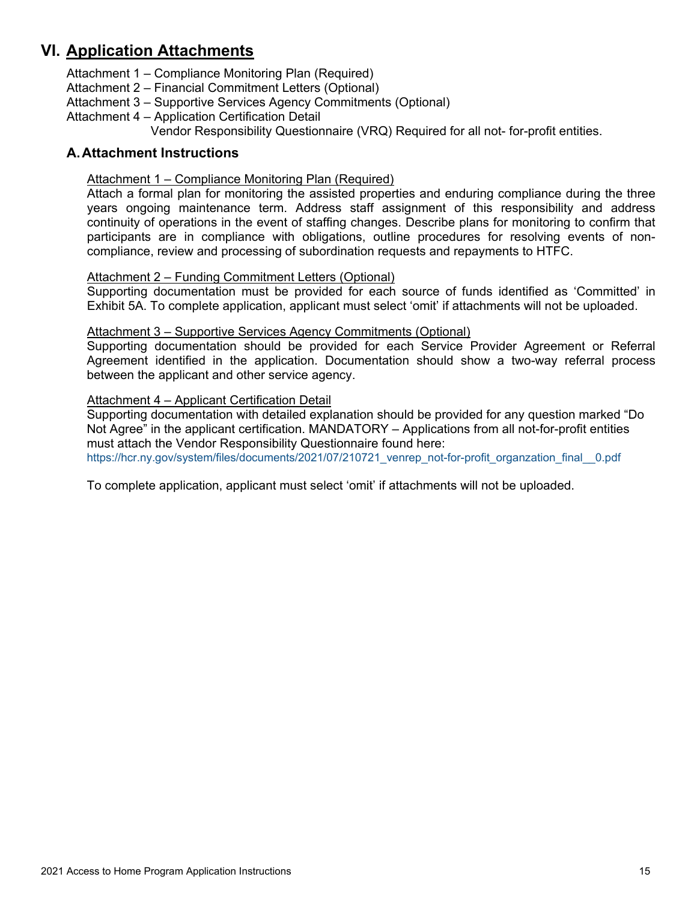# <span id="page-15-0"></span>**VI. Application Attachments**

Attachment 1 – Compliance Monitoring Plan (Required)

Attachment 2 – Financial Commitment Letters (Optional)

- Attachment 3 Supportive Services Agency Commitments (Optional)
- Attachment 4 Application Certification Detail

Vendor Responsibility Questionnaire (VRQ) Required for all not- for-profit entities.

### <span id="page-15-2"></span><span id="page-15-1"></span>**A.Attachment Instructions**

### Attachment 1 – Compliance Monitoring Plan (Required)

Attach a formal plan for monitoring the assisted properties and enduring compliance during the three years ongoing maintenance term. Address staff assignment of this responsibility and address continuity of operations in the event of staffing changes. Describe plans for monitoring to confirm that participants are in compliance with obligations, outline procedures for resolving events of noncompliance, review and processing of subordination requests and repayments to HTFC.

### <span id="page-15-3"></span>Attachment 2 – Funding Commitment Letters (Optional)

Supporting documentation must be provided for each source of funds identified as 'Committed' in Exhibit 5A. To complete application, applicant must select 'omit' if attachments will not be uploaded.

#### <span id="page-15-4"></span>Attachment 3 – Supportive Services Agency Commitments (Optional)

Supporting documentation should be provided for each Service Provider Agreement or Referral Agreement identified in the application. Documentation should show a two-way referral process between the applicant and other service agency.

### <span id="page-15-5"></span>Attachment 4 – Applicant Certification Detail

Supporting documentation with detailed explanation should be provided for any question marked "Do Not Agree" in the applicant certification. MANDATORY – Applications from all not-for-profit entities must attach the Vendor Responsibility Questionnaire found here:

[https://hcr.ny.gov/system/files/documents/2021/07/210721\\_venrep\\_not-for-profit\\_organzation\\_final\\_\\_0.pdf](https://hcr.ny.gov/system/files/documents/2021/07/210721_venrep_not-for-profit_organzation_final__0.pdf)

To complete application, applicant must select 'omit' if attachments will not be uploaded.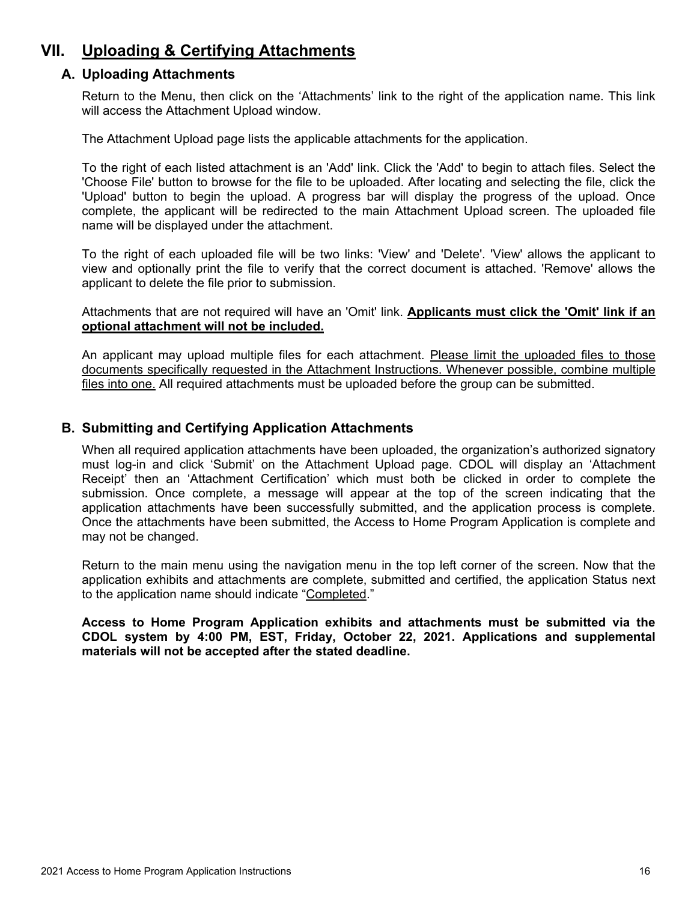# <span id="page-16-1"></span><span id="page-16-0"></span>**VII. Uploading & Certifying Attachments**

### **A. Uploading Attachments**

Return to the Menu, then click on the 'Attachments' link to the right of the application name. This link will access the Attachment Upload window.

The Attachment Upload page lists the applicable attachments for the application.

To the right of each listed attachment is an 'Add' link. Click the 'Add' to begin to attach files. Select the 'Choose File' button to browse for the file to be uploaded. After locating and selecting the file, click the 'Upload' button to begin the upload. A progress bar will display the progress of the upload. Once complete, the applicant will be redirected to the main Attachment Upload screen. The uploaded file name will be displayed under the attachment.

To the right of each uploaded file will be two links: 'View' and 'Delete'. 'View' allows the applicant to view and optionally print the file to verify that the correct document is attached. 'Remove' allows the applicant to delete the file prior to submission.

Attachments that are not required will have an 'Omit' link. **Applicants must click the 'Omit' link if an optional attachment will not be included.**

An applicant may upload multiple files for each attachment. Please limit the uploaded files to those documents specifically requested in the Attachment Instructions. Whenever possible, combine multiple files into one. All required attachments must be uploaded before the group can be submitted.

### <span id="page-16-2"></span>**B. Submitting and Certifying Application Attachments**

When all required application attachments have been uploaded, the organization's authorized signatory must log-in and click 'Submit' on the Attachment Upload page. CDOL will display an 'Attachment Receipt' then an 'Attachment Certification' which must both be clicked in order to complete the submission. Once complete, a message will appear at the top of the screen indicating that the application attachments have been successfully submitted, and the application process is complete. Once the attachments have been submitted, the Access to Home Program Application is complete and may not be changed.

Return to the main menu using the navigation menu in the top left corner of the screen. Now that the application exhibits and attachments are complete, submitted and certified, the application Status next to the application name should indicate "Completed."

**Access to Home Program Application exhibits and attachments must be submitted via the CDOL system by 4:00 PM, EST, Friday, October 22, 2021. Applications and supplemental materials will not be accepted after the stated deadline.**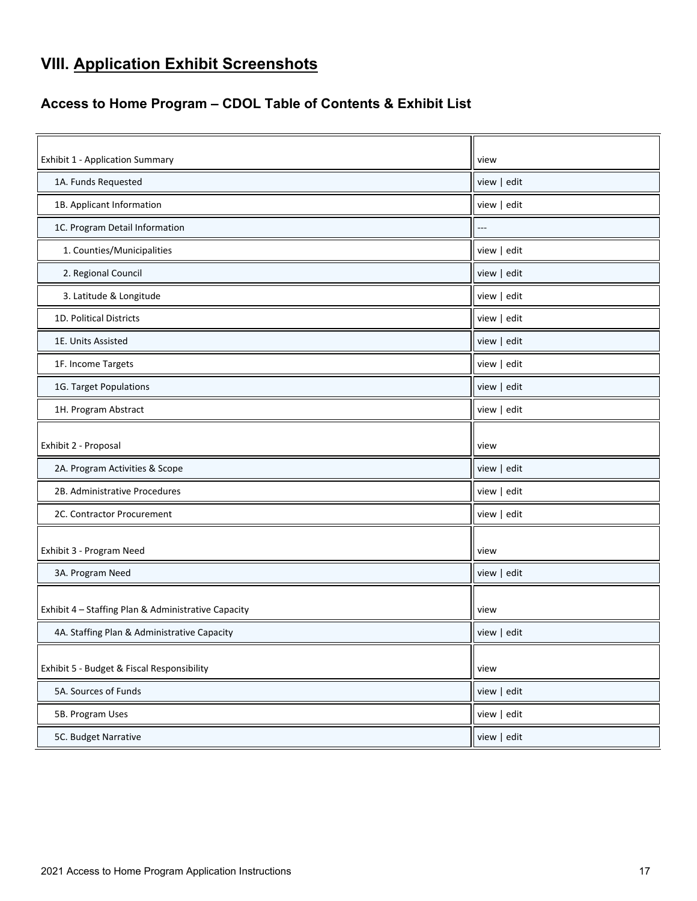# <span id="page-17-0"></span>**VIII. Application Exhibit Screenshots**

# <span id="page-17-1"></span>**Access to Home Program – CDOL Table of Contents & Exhibit List**

| <b>Exhibit 1 - Application Summary</b>              | view        |
|-----------------------------------------------------|-------------|
| 1A. Funds Requested                                 | view   edit |
| 1B. Applicant Information                           | view   edit |
| 1C. Program Detail Information                      |             |
| 1. Counties/Municipalities                          | view   edit |
| 2. Regional Council                                 | view   edit |
| 3. Latitude & Longitude                             | view   edit |
| 1D. Political Districts                             | view   edit |
| 1E. Units Assisted                                  | view   edit |
| 1F. Income Targets                                  | view   edit |
| 1G. Target Populations                              | view   edit |
| 1H. Program Abstract                                | view   edit |
|                                                     |             |
| Exhibit 2 - Proposal                                | view        |
| 2A. Program Activities & Scope                      | view   edit |
| 2B. Administrative Procedures                       | view   edit |
| 2C. Contractor Procurement                          | view   edit |
|                                                     |             |
| Exhibit 3 - Program Need                            | view        |
| 3A. Program Need                                    | view   edit |
|                                                     | view        |
| Exhibit 4 - Staffing Plan & Administrative Capacity |             |
| 4A. Staffing Plan & Administrative Capacity         | view   edit |
| Exhibit 5 - Budget & Fiscal Responsibility          | view        |
| 5A. Sources of Funds                                | view   edit |
| 5B. Program Uses                                    | view   edit |
| 5C. Budget Narrative                                | view   edit |
|                                                     |             |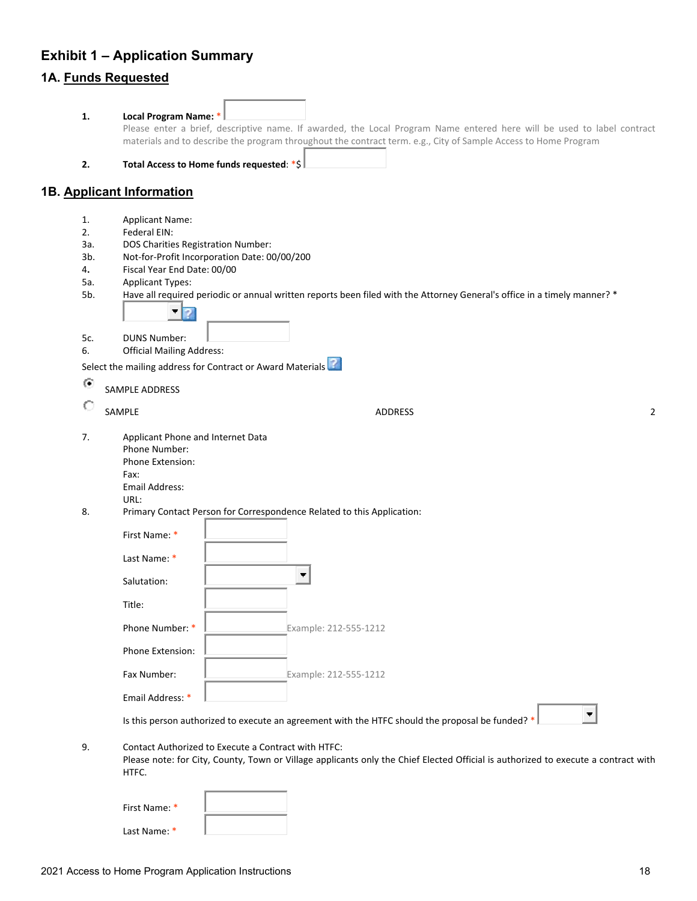# <span id="page-18-0"></span>**Exhibit 1 – Application Summary 1A. Funds Requested**

| 1.         | Local Program Name: *                                                          | Please enter a brief, descriptive name. If awarded, the Local Program Name entered here will be used to label contract<br>materials and to describe the program throughout the contract term. e.g., City of Sample Access to Home Program |   |
|------------|--------------------------------------------------------------------------------|-------------------------------------------------------------------------------------------------------------------------------------------------------------------------------------------------------------------------------------------|---|
| 2.         |                                                                                | Total Access to Home funds requested: *\$                                                                                                                                                                                                 |   |
|            | 1B. Applicant Information                                                      |                                                                                                                                                                                                                                           |   |
| 1.         | <b>Applicant Name:</b>                                                         |                                                                                                                                                                                                                                           |   |
| 2.         | Federal EIN:                                                                   |                                                                                                                                                                                                                                           |   |
| За.<br>3b. | DOS Charities Registration Number:                                             | Not-for-Profit Incorporation Date: 00/00/200                                                                                                                                                                                              |   |
| 4.         | Fiscal Year End Date: 00/00                                                    |                                                                                                                                                                                                                                           |   |
| 5а.        | <b>Applicant Types:</b>                                                        |                                                                                                                                                                                                                                           |   |
| 5b.        |                                                                                | Have all required periodic or annual written reports been filed with the Attorney General's office in a timely manner? *                                                                                                                  |   |
|            |                                                                                |                                                                                                                                                                                                                                           |   |
| 5c.        | <b>DUNS Number:</b>                                                            |                                                                                                                                                                                                                                           |   |
| 6.         | <b>Official Mailing Address:</b>                                               |                                                                                                                                                                                                                                           |   |
|            |                                                                                | Select the mailing address for Contract or Award Materials                                                                                                                                                                                |   |
| $\bullet$  |                                                                                |                                                                                                                                                                                                                                           |   |
|            | SAMPLE ADDRESS                                                                 |                                                                                                                                                                                                                                           |   |
| C          | SAMPLE                                                                         | <b>ADDRESS</b>                                                                                                                                                                                                                            | 2 |
| 7.         | Applicant Phone and Internet Data<br>Phone Number:<br>Phone Extension:<br>Fax: |                                                                                                                                                                                                                                           |   |
|            | Email Address:                                                                 |                                                                                                                                                                                                                                           |   |
|            | URL:                                                                           |                                                                                                                                                                                                                                           |   |
| 8.         |                                                                                | Primary Contact Person for Correspondence Related to this Application:                                                                                                                                                                    |   |
|            | First Name: *                                                                  |                                                                                                                                                                                                                                           |   |
|            | Last Name: *                                                                   |                                                                                                                                                                                                                                           |   |
|            | Salutation:                                                                    |                                                                                                                                                                                                                                           |   |
|            | Title:                                                                         |                                                                                                                                                                                                                                           |   |
|            | Phone Number: *                                                                | Example: 212-555-1212                                                                                                                                                                                                                     |   |
|            | Phone Extension:                                                               |                                                                                                                                                                                                                                           |   |
|            | Fax Number:                                                                    | Example: 212-555-1212                                                                                                                                                                                                                     |   |
|            | Email Address: *                                                               |                                                                                                                                                                                                                                           |   |
|            |                                                                                | Is this person authorized to execute an agreement with the HTFC should the proposal be funded? *                                                                                                                                          |   |
| 9.         | HTFC.                                                                          | Contact Authorized to Execute a Contract with HTFC:<br>Please note: for City, County, Town or Village applicants only the Chief Elected Official is authorized to execute a contract with                                                 |   |

| First Name: * |  |
|---------------|--|
| Last Name: *  |  |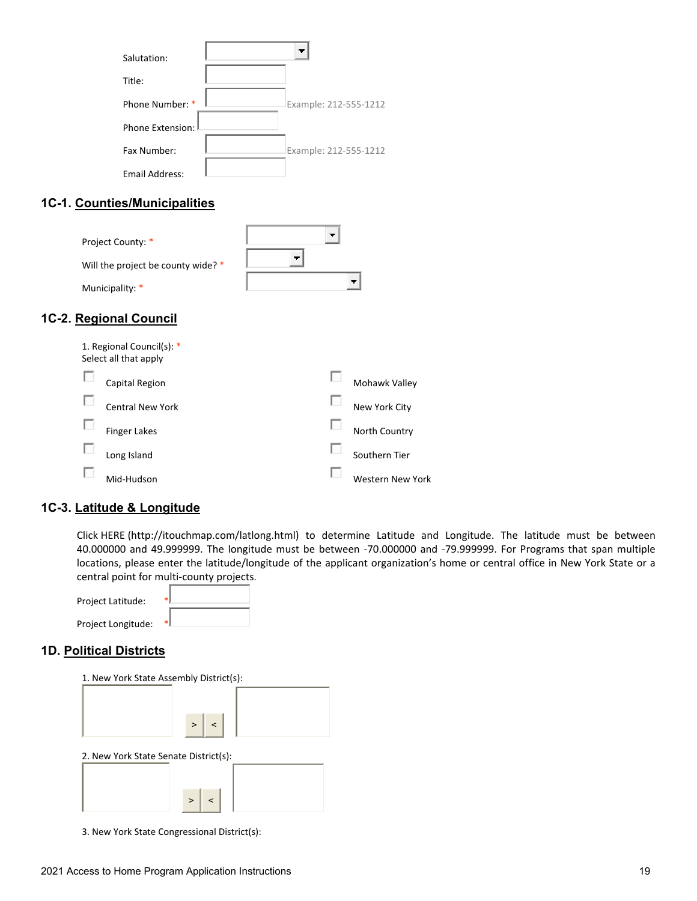| Salutation:        |                       |
|--------------------|-----------------------|
| Title:             |                       |
| Phone Number: *    | Example: 212-555-1212 |
| Phone Extension: I |                       |
| Fax Number:        | Example: 212-555-1212 |
| Email Address:     |                       |

# **1C-1. Counties/Municipalities**

| Project County: *                  |  |
|------------------------------------|--|
| Will the project be county wide? * |  |
| Municipality: *                    |  |

# **1C-2. Regional Council**

| 1. Regional Council(s): *<br>Select all that apply |                  |
|----------------------------------------------------|------------------|
| Capital Region                                     | Mohawk Valley    |
| <b>Central New York</b>                            | New York City    |
| Finger Lakes                                       | North Country    |
| Long Island                                        | Southern Tier    |
| Mid-Hudson                                         | Western New York |

# **1C-3. Latitude & Longitude**

Click HERE (http://itouchmap.com/latlong.html) to determine Latitude and Longitude. The latitude must be between 40.000000 and 49.999999. The longitude must be between -70.000000 and -79.999999. For Programs that span multiple locations, please enter the latitude/longitude of the applicant organization's home or central office in New York State or a central point for multi-county projects.

| Project Latitude:  |    |
|--------------------|----|
| Project Longitude: | *1 |

### **1D. Political Districts**

| 1. New York State Assembly District(s): |  |
|-----------------------------------------|--|
|                                         |  |
| $>$   <                                 |  |
| 2. New York State Senate District(s):   |  |
|                                         |  |
| $\geq$                                  |  |

3. New York State Congressional District(s):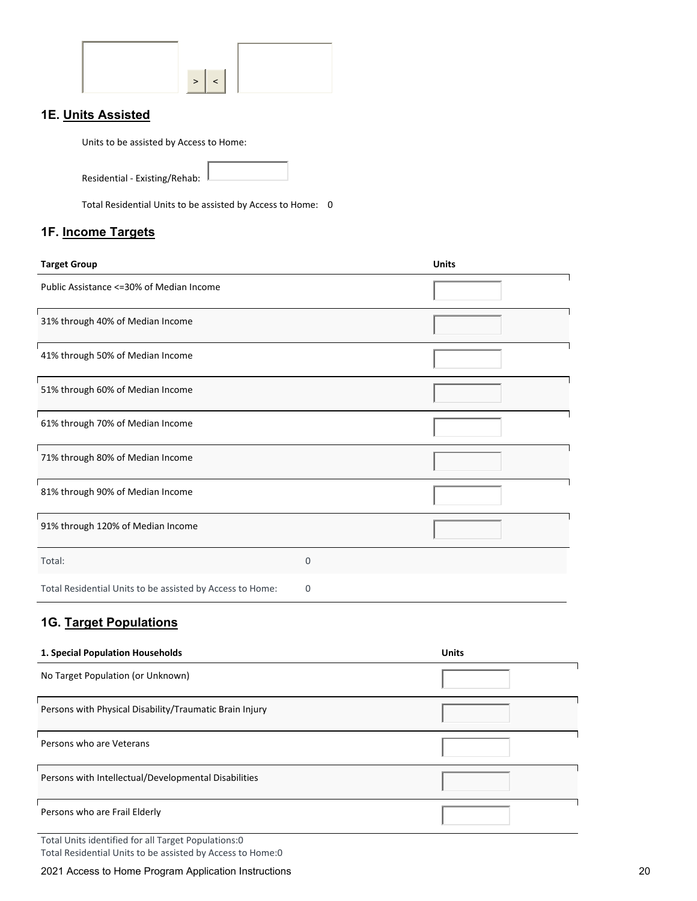# **1E. Units Assisted**

Units to be assisted by Access to Home:

Residential - Existing/Rehab:

Total Residential Units to be assisted by Access to Home: 0

### **1F. Income Targets**

| <b>Target Group</b>                                       |          | <b>Units</b> |
|-----------------------------------------------------------|----------|--------------|
| Public Assistance <= 30% of Median Income                 |          |              |
| 31% through 40% of Median Income                          |          |              |
| 41% through 50% of Median Income                          |          |              |
| 51% through 60% of Median Income                          |          |              |
| 61% through 70% of Median Income                          |          |              |
| 71% through 80% of Median Income                          |          |              |
| 81% through 90% of Median Income                          |          |              |
| 91% through 120% of Median Income                         |          |              |
| Total:                                                    | $\Omega$ |              |
| Total Residential Units to be assisted by Access to Home: | 0        |              |

# **1G. Target Populations**

| 1. Special Population Households                        | <b>Units</b> |
|---------------------------------------------------------|--------------|
| No Target Population (or Unknown)                       |              |
| Persons with Physical Disability/Traumatic Brain Injury |              |
| Persons who are Veterans                                |              |
| Persons with Intellectual/Developmental Disabilities    |              |
| Persons who are Frail Elderly                           |              |

Total Units identified for all Target Populations:0

Total Residential Units to be assisted by Access to Home:0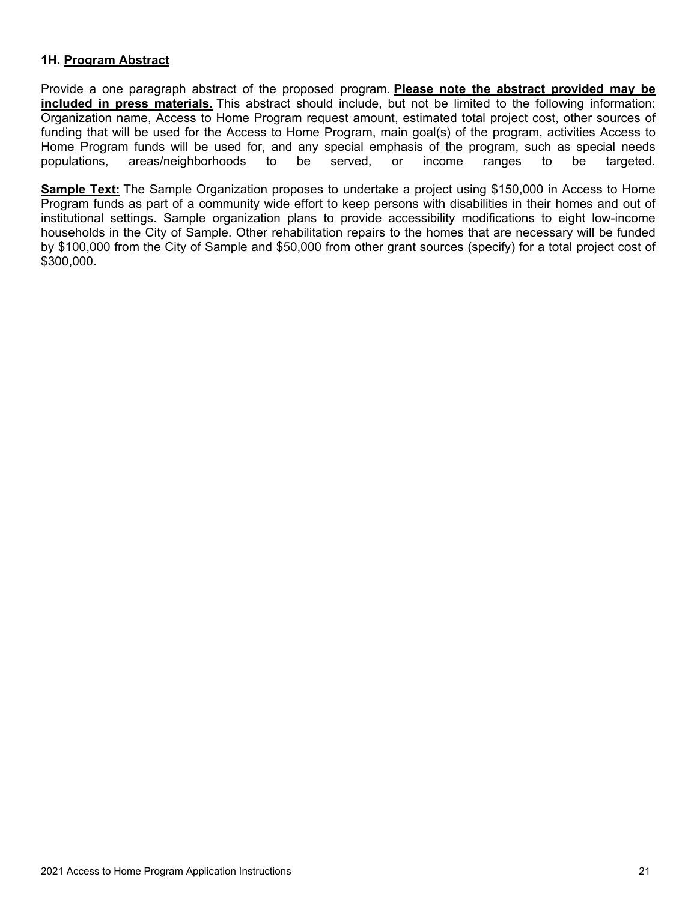### **1H. Program Abstract**

Provide a one paragraph abstract of the proposed program. **Please note the abstract provided may be included in press materials.** This abstract should include, but not be limited to the following information: Organization name, Access to Home Program request amount, estimated total project cost, other sources of funding that will be used for the Access to Home Program, main goal(s) of the program, activities Access to Home Program funds will be used for, and any special emphasis of the program, such as special needs populations, areas/neighborhoods to be served, or income ranges to be targeted.

**Sample Text:** The Sample Organization proposes to undertake a project using \$150,000 in Access to Home Program funds as part of a community wide effort to keep persons with disabilities in their homes and out of institutional settings. Sample organization plans to provide accessibility modifications to eight low-income households in the City of Sample. Other rehabilitation repairs to the homes that are necessary will be funded by \$100,000 from the City of Sample and \$50,000 from other grant sources (specify) for a total project cost of \$300,000.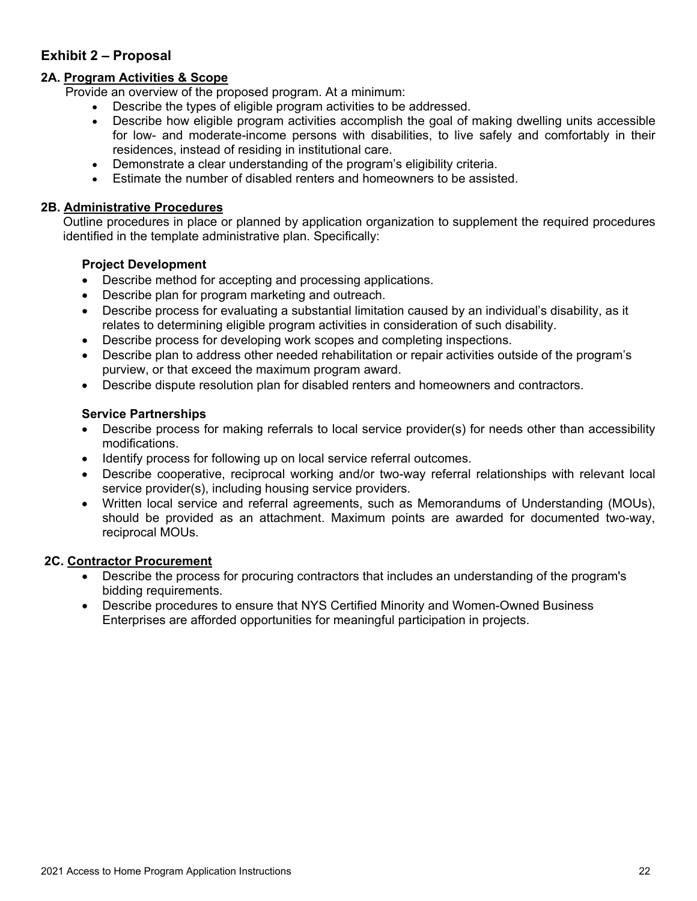# <span id="page-22-0"></span>**Exhibit 2 – Proposal**

### **2A. Program Activities & Scope**

Provide an overview of the proposed program. At a minimum:

- Describe the types of eligible program activities to be addressed.
- Describe how eligible program activities accomplish the goal of making dwelling units accessible for low- and moderate-income persons with disabilities, to live safely and comfortably in their residences, instead of residing in institutional care.
- Demonstrate a clear understanding of the program's eligibility criteria.
- Estimate the number of disabled renters and homeowners to be assisted.

### **2B. Administrative Procedures**

Outline procedures in place or planned by application organization to supplement the required procedures identified in the template administrative plan. Specifically:

### **Project Development**

- Describe method for accepting and processing applications.
- Describe plan for program marketing and outreach.
- Describe process for evaluating a substantial limitation caused by an individual's disability, as it relates to determining eligible program activities in consideration of such disability.
- Describe process for developing work scopes and completing inspections.
- Describe plan to address other needed rehabilitation or repair activities outside of the program's purview, or that exceed the maximum program award.
- Describe dispute resolution plan for disabled renters and homeowners and contractors.

### **Service Partnerships**

- Describe process for making referrals to local service provider(s) for needs other than accessibility modifications.
- Identify process for following up on local service referral outcomes.
- Describe cooperative, reciprocal working and/or two-way referral relationships with relevant local service provider(s), including housing service providers.
- Written local service and referral agreements, such as Memorandums of Understanding (MOUs), should be provided as an attachment. Maximum points are awarded for documented two-way, reciprocal MOUs.

#### **2C. Contractor Procurement**

- Describe the process for procuring contractors that includes an understanding of the program's bidding requirements.
- Describe procedures to ensure that NYS Certified Minority and Women-Owned Business Enterprises are afforded opportunities for meaningful participation in projects.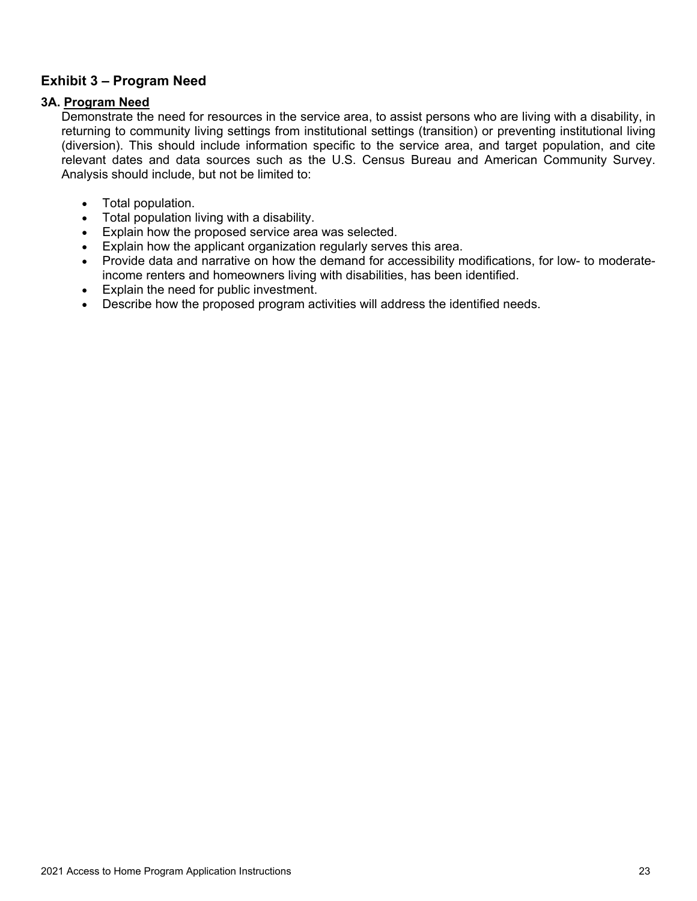# <span id="page-23-0"></span>**Exhibit 3 – Program Need**

### **3A. Program Need**

Demonstrate the need for resources in the service area, to assist persons who are living with a disability, in returning to community living settings from institutional settings (transition) or preventing institutional living (diversion). This should include information specific to the service area, and target population, and cite relevant dates and data sources such as the U.S. Census Bureau and American Community Survey. Analysis should include, but not be limited to:

- Total population.
- Total population living with a disability.
- Explain how the proposed service area was selected.
- Explain how the applicant organization regularly serves this area.
- Provide data and narrative on how the demand for accessibility modifications, for low- to moderateincome renters and homeowners living with disabilities, has been identified.
- Explain the need for public investment.
- Describe how the proposed program activities will address the identified needs.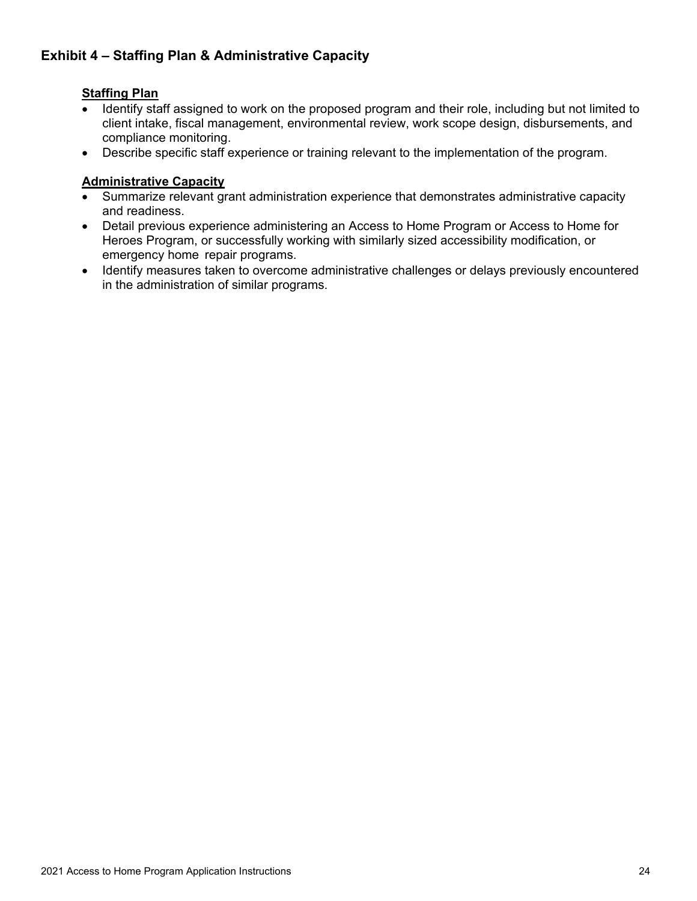# <span id="page-24-0"></span>**Exhibit 4 – Staffing Plan & Administrative Capacity**

### **Staffing Plan**

- Identify staff assigned to work on the proposed program and their role, including but not limited to client intake, fiscal management, environmental review, work scope design, disbursements, and compliance monitoring.
- Describe specific staff experience or training relevant to the implementation of the program.

# **Administrative Capacity**

- Summarize relevant grant administration experience that demonstrates administrative capacity and readiness.
- Detail previous experience administering an Access to Home Program or Access to Home for Heroes Program, or successfully working with similarly sized accessibility modification, or emergency home repair programs.
- Identify measures taken to overcome administrative challenges or delays previously encountered in the administration of similar programs.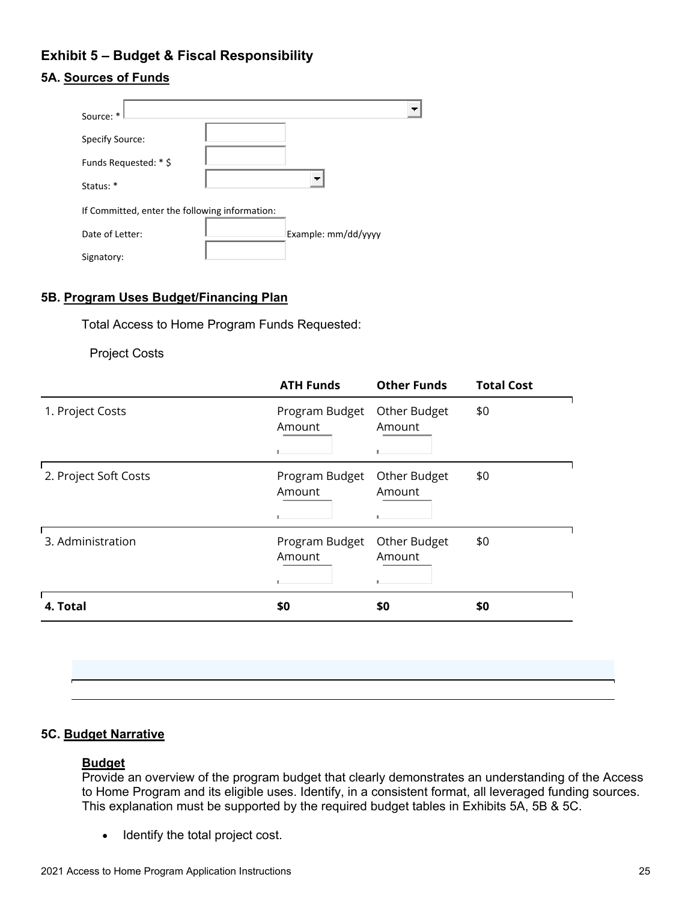# <span id="page-25-0"></span>**Exhibit 5 – Budget & Fiscal Responsibility**

# **5A. Sources of Funds**

| Source: *                                      |                     |  |  |  |  |
|------------------------------------------------|---------------------|--|--|--|--|
| Specify Source:                                |                     |  |  |  |  |
| Funds Requested: * \$                          |                     |  |  |  |  |
| Status: *                                      | т.                  |  |  |  |  |
| If Committed, enter the following information: |                     |  |  |  |  |
| Date of Letter:                                | Example: mm/dd/yyyy |  |  |  |  |
| Signatory:                                     |                     |  |  |  |  |

### **5B. Program Uses Budget/Financing Plan**

Total Access to Home Program Funds Requested:

Project Costs

|                       | <b>ATH Funds</b>         | <b>Other Funds</b>          | <b>Total Cost</b> |
|-----------------------|--------------------------|-----------------------------|-------------------|
| 1. Project Costs      | Program Budget<br>Amount | Other Budget<br>Amount<br>л | \$0               |
| 2. Project Soft Costs | Program Budget<br>Amount | Other Budget<br>Amount      | \$0               |
| 3. Administration     | Program Budget<br>Amount | Other Budget<br>Amount      | \$0               |
| 4. Total              | \$0                      | \$0                         | \$0               |
|                       |                          |                             |                   |

### **5C. Budget Narrative**

### **Budget**

Provide an overview of the program budget that clearly demonstrates an understanding of the Access to Home Program and its eligible uses. Identify, in a consistent format, all leveraged funding sources. This explanation must be supported by the required budget tables in Exhibits 5A, 5B & 5C.

• Identify the total project cost.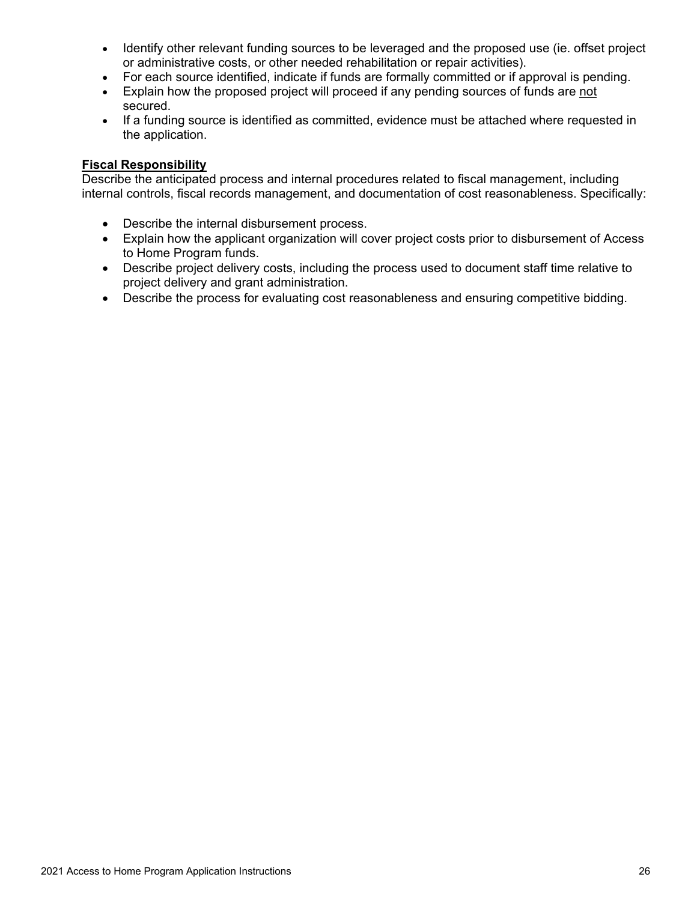- Identify other relevant funding sources to be leveraged and the proposed use (ie. offset project or administrative costs, or other needed rehabilitation or repair activities).
- For each source identified, indicate if funds are formally committed or if approval is pending.
- Explain how the proposed project will proceed if any pending sources of funds are not secured.
- If a funding source is identified as committed, evidence must be attached where requested in the application.

### **Fiscal Responsibility**

Describe the anticipated process and internal procedures related to fiscal management, including internal controls, fiscal records management, and documentation of cost reasonableness. Specifically:

- Describe the internal disbursement process.
- Explain how the applicant organization will cover project costs prior to disbursement of Access to Home Program funds.
- Describe project delivery costs, including the process used to document staff time relative to project delivery and grant administration.
- Describe the process for evaluating cost reasonableness and ensuring competitive bidding.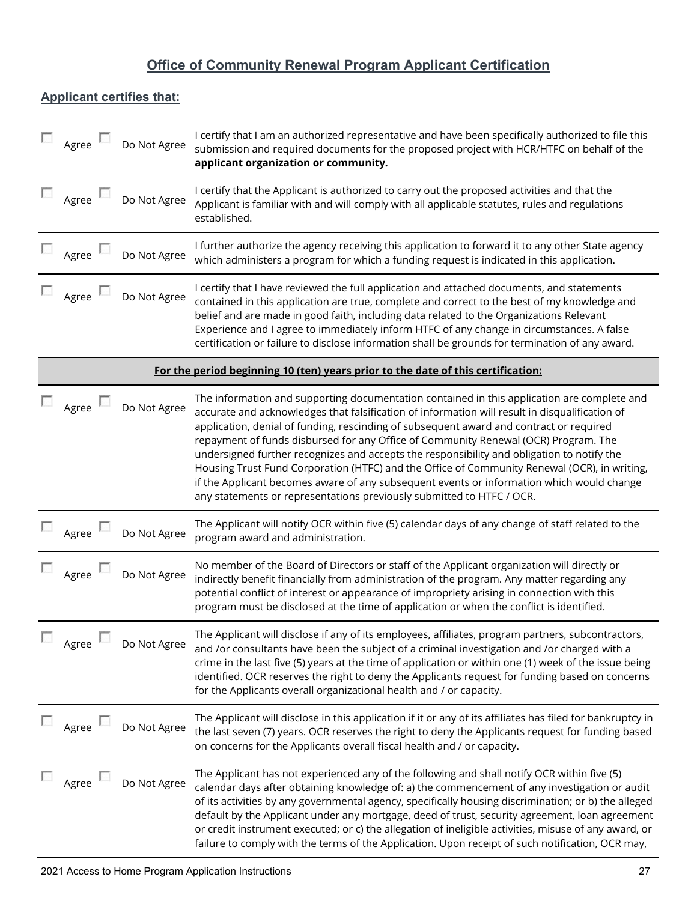# **Office of Community Renewal Program Applicant Certification**

# **Applicant certifies that:**

|                | Agree               | Do Not Agree | I certify that I am an authorized representative and have been specifically authorized to file this<br>submission and required documents for the proposed project with HCR/HTFC on behalf of the<br>applicant organization or community.                                                                                                                                                                                                                                                                                                                                                                                                                                                                                                            |
|----------------|---------------------|--------------|-----------------------------------------------------------------------------------------------------------------------------------------------------------------------------------------------------------------------------------------------------------------------------------------------------------------------------------------------------------------------------------------------------------------------------------------------------------------------------------------------------------------------------------------------------------------------------------------------------------------------------------------------------------------------------------------------------------------------------------------------------|
|                | Agree               | Do Not Agree | I certify that the Applicant is authorized to carry out the proposed activities and that the<br>Applicant is familiar with and will comply with all applicable statutes, rules and regulations<br>established.                                                                                                                                                                                                                                                                                                                                                                                                                                                                                                                                      |
|                | $\Box$ Agree $\Box$ | Do Not Agree | I further authorize the agency receiving this application to forward it to any other State agency<br>which administers a program for which a funding request is indicated in this application.                                                                                                                                                                                                                                                                                                                                                                                                                                                                                                                                                      |
|                | Agree $\Box$        | Do Not Agree | I certify that I have reviewed the full application and attached documents, and statements<br>contained in this application are true, complete and correct to the best of my knowledge and<br>belief and are made in good faith, including data related to the Organizations Relevant<br>Experience and I agree to immediately inform HTFC of any change in circumstances. A false<br>certification or failure to disclose information shall be grounds for termination of any award.                                                                                                                                                                                                                                                               |
|                |                     |              | For the period beginning 10 (ten) years prior to the date of this certification:                                                                                                                                                                                                                                                                                                                                                                                                                                                                                                                                                                                                                                                                    |
|                | Agree               | Do Not Agree | The information and supporting documentation contained in this application are complete and<br>accurate and acknowledges that falsification of information will result in disqualification of<br>application, denial of funding, rescinding of subsequent award and contract or required<br>repayment of funds disbursed for any Office of Community Renewal (OCR) Program. The<br>undersigned further recognizes and accepts the responsibility and obligation to notify the<br>Housing Trust Fund Corporation (HTFC) and the Office of Community Renewal (OCR), in writing,<br>if the Applicant becomes aware of any subsequent events or information which would change<br>any statements or representations previously submitted to HTFC / OCR. |
|                | $\Box$ Agree $\Box$ | Do Not Agree | The Applicant will notify OCR within five (5) calendar days of any change of staff related to the<br>program award and administration.                                                                                                                                                                                                                                                                                                                                                                                                                                                                                                                                                                                                              |
|                | L.<br>Agree         | Do Not Agree | No member of the Board of Directors or staff of the Applicant organization will directly or<br>indirectly benefit financially from administration of the program. Any matter regarding any<br>potential conflict of interest or appearance of impropriety arising in connection with this<br>program must be disclosed at the time of application or when the conflict is identified.                                                                                                                                                                                                                                                                                                                                                               |
| <b>Barbara</b> | Agree               | Do Not Agree | The Applicant will disclose if any of its employees, affiliates, program partners, subcontractors,<br>and /or consultants have been the subject of a criminal investigation and /or charged with a<br>crime in the last five (5) years at the time of application or within one (1) week of the issue being<br>identified. OCR reserves the right to deny the Applicants request for funding based on concerns<br>for the Applicants overall organizational health and / or capacity.                                                                                                                                                                                                                                                               |
|                | Agree               | Do Not Agree | The Applicant will disclose in this application if it or any of its affiliates has filed for bankruptcy in<br>the last seven (7) years. OCR reserves the right to deny the Applicants request for funding based<br>on concerns for the Applicants overall fiscal health and / or capacity.                                                                                                                                                                                                                                                                                                                                                                                                                                                          |
|                | Agree $\mathbb L$   | Do Not Agree | The Applicant has not experienced any of the following and shall notify OCR within five (5)<br>calendar days after obtaining knowledge of: a) the commencement of any investigation or audit<br>of its activities by any governmental agency, specifically housing discrimination; or b) the alleged<br>default by the Applicant under any mortgage, deed of trust, security agreement, loan agreement<br>or credit instrument executed; or c) the allegation of ineligible activities, misuse of any award, or<br>failure to comply with the terms of the Application. Upon receipt of such notification, OCR may,                                                                                                                                 |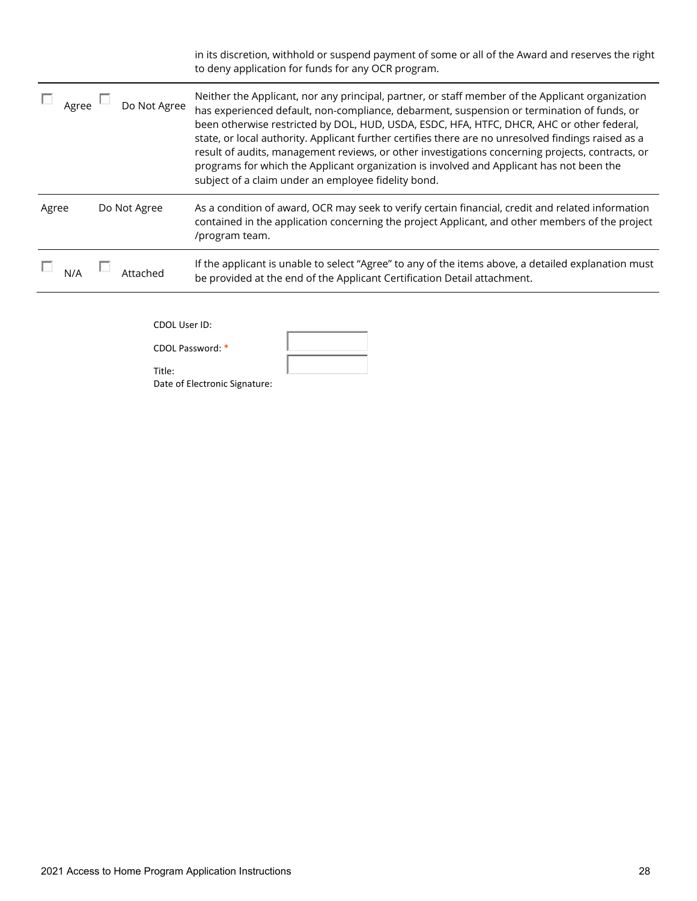|       |              | in its discretion, withhold or suspend payment of some or all of the Award and reserves the right<br>to deny application for funds for any OCR program.                                                                                                                                                                                                                                                                                                                                                                                                                                                                                                   |
|-------|--------------|-----------------------------------------------------------------------------------------------------------------------------------------------------------------------------------------------------------------------------------------------------------------------------------------------------------------------------------------------------------------------------------------------------------------------------------------------------------------------------------------------------------------------------------------------------------------------------------------------------------------------------------------------------------|
| Agree | Do Not Agree | Neither the Applicant, nor any principal, partner, or staff member of the Applicant organization<br>has experienced default, non-compliance, debarment, suspension or termination of funds, or<br>been otherwise restricted by DOL, HUD, USDA, ESDC, HFA, HTFC, DHCR, AHC or other federal,<br>state, or local authority. Applicant further certifies there are no unresolved findings raised as a<br>result of audits, management reviews, or other investigations concerning projects, contracts, or<br>programs for which the Applicant organization is involved and Applicant has not been the<br>subject of a claim under an employee fidelity bond. |
| Agree | Do Not Agree | As a condition of award, OCR may seek to verify certain financial, credit and related information<br>contained in the application concerning the project Applicant, and other members of the project<br>/program team.                                                                                                                                                                                                                                                                                                                                                                                                                                    |
|       |              | If the applicant is unable to select "Agree" to any of the items above, a detailed explanation must<br>be provided at the end of the Applicant Certification Detail attachment.                                                                                                                                                                                                                                                                                                                                                                                                                                                                           |
|       |              |                                                                                                                                                                                                                                                                                                                                                                                                                                                                                                                                                                                                                                                           |

CDOL User ID:

CDOL Password: \*

Title:

Date of Electronic Signature: